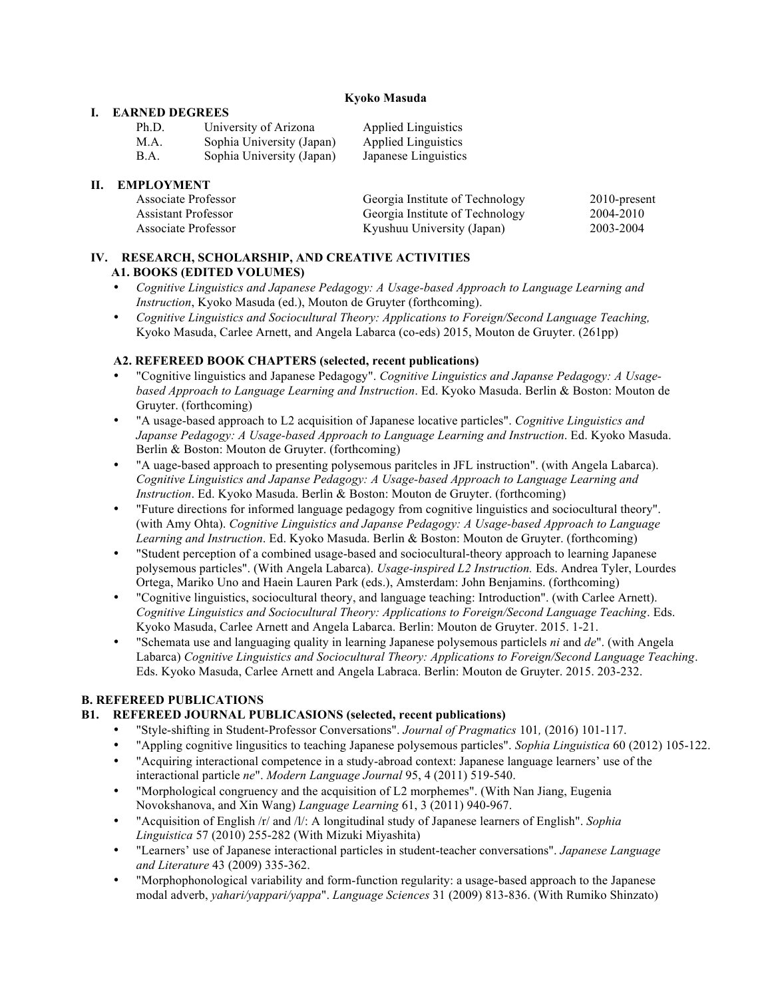#### **Kyoko Masuda**

#### **I. EARNED DEGREES**

| Ph.D. | University of Arizona     | <b>Applied Linguistics</b> |
|-------|---------------------------|----------------------------|
| M.A.  | Sophia University (Japan) | <b>Applied Linguistics</b> |
| B.A.  | Sophia University (Japan) | Japanese Linguistics       |

# **II. EMPLOYMENT**

| Associate Professor | Georgia Institute of Technology | $2010$ -present |
|---------------------|---------------------------------|-----------------|
| Assistant Professor | Georgia Institute of Technology | 2004-2010       |
| Associate Professor | Kyushuu University (Japan)      | 2003-2004       |

#### **IV. RESEARCH, SCHOLARSHIP, AND CREATIVE ACTIVITIES A1. BOOKS (EDITED VOLUMES)**

- *Cognitive Linguistics and Japanese Pedagogy: A Usage-based Approach to Language Learning and Instruction*, Kyoko Masuda (ed.), Mouton de Gruyter (forthcoming).
- *Cognitive Linguistics and Sociocultural Theory: Applications to Foreign/Second Language Teaching,* Kyoko Masuda, Carlee Arnett, and Angela Labarca (co-eds) 2015, Mouton de Gruyter. (261pp)

#### **A2. REFEREED BOOK CHAPTERS (selected, recent publications)**

- "Cognitive linguistics and Japanese Pedagogy". *Cognitive Linguistics and Japanse Pedagogy: A Usagebased Approach to Language Learning and Instruction*. Ed. Kyoko Masuda. Berlin & Boston: Mouton de Gruyter. (forthcoming)
- "A usage-based approach to L2 acquisition of Japanese locative particles". *Cognitive Linguistics and Japanse Pedagogy: A Usage-based Approach to Language Learning and Instruction*. Ed. Kyoko Masuda. Berlin & Boston: Mouton de Gruyter. (forthcoming)
- "A uage-based approach to presenting polysemous paritcles in JFL instruction". (with Angela Labarca). *Cognitive Linguistics and Japanse Pedagogy: A Usage-based Approach to Language Learning and Instruction*. Ed. Kyoko Masuda. Berlin & Boston: Mouton de Gruyter. (forthcoming)
- "Future directions for informed language pedagogy from cognitive linguistics and sociocultural theory". (with Amy Ohta). *Cognitive Linguistics and Japanse Pedagogy: A Usage-based Approach to Language Learning and Instruction*. Ed. Kyoko Masuda. Berlin & Boston: Mouton de Gruyter. (forthcoming)
- "Student perception of a combined usage-based and sociocultural-theory approach to learning Japanese polysemous particles". (With Angela Labarca). *Usage-inspired L2 Instruction.* Eds. Andrea Tyler, Lourdes Ortega, Mariko Uno and Haein Lauren Park (eds.), Amsterdam: John Benjamins. (forthcoming)
- "Cognitive linguistics, sociocultural theory, and language teaching: Introduction". (with Carlee Arnett). *Cognitive Linguistics and Sociocultural Theory: Applications to Foreign/Second Language Teaching*. Eds. Kyoko Masuda, Carlee Arnett and Angela Labarca. Berlin: Mouton de Gruyter. 2015. 1-21.
- "Schemata use and languaging quality in learning Japanese polysemous particlels *ni* and *de*". (with Angela Labarca) *Cognitive Linguistics and Sociocultural Theory: Applications to Foreign/Second Language Teaching*. Eds. Kyoko Masuda, Carlee Arnett and Angela Labraca. Berlin: Mouton de Gruyter. 2015. 203-232.

# **B. REFEREED PUBLICATIONS**

# **B1. REFEREED JOURNAL PUBLICASIONS (selected, recent publications)**

- "Style-shifting in Student-Professor Conversations". *Journal of Pragmatics* 101*,* (2016) 101-117.
- "Appling cognitive lingusitics to teaching Japanese polysemous particles". *Sophia Linguistica* 60 (2012) 105-122.
- "Acquiring interactional competence in a study-abroad context: Japanese language learners' use of the interactional particle *ne*". *Modern Language Journal* 95, 4 (2011) 519-540.
- "Morphological congruency and the acquisition of L2 morphemes". (With Nan Jiang, Eugenia Novokshanova, and Xin Wang) *Language Learning* 61, 3 (2011) 940-967.
- "Acquisition of English /r/ and /l/: A longitudinal study of Japanese learners of English". *Sophia Linguistica* 57 (2010) 255-282 (With Mizuki Miyashita)
- "Learners' use of Japanese interactional particles in student-teacher conversations". *Japanese Language and Literature* 43 (2009) 335-362.
- "Morphophonological variability and form-function regularity: a usage-based approach to the Japanese modal adverb, *yahari/yappari/yappa*". *Language Sciences* 31 (2009) 813-836. (With Rumiko Shinzato)